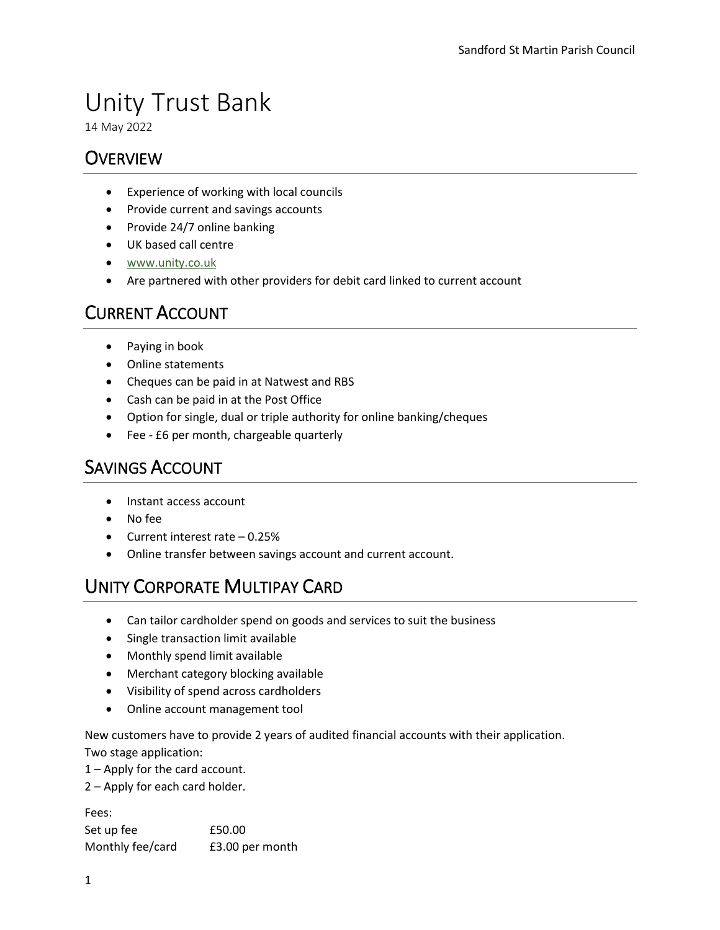# Unity Trust Bank

14 May 2022

### **OVERVIEW**

- Experience of working with local councils
- Provide current and savings accounts
- Provide 24/7 online banking
- UK based call centre
- [www.unity.co.uk](http://www.unity.co.uk/)
- Are partnered with other providers for debit card linked to current account

## CURRENT ACCOUNT

- Paying in book
- Online statements
- Cheques can be paid in at Natwest and RBS
- Cash can be paid in at the Post Office
- Option for single, dual or triple authority for online banking/cheques
- Fee £6 per month, chargeable quarterly

#### SAVINGS ACCOUNT

- Instant access account
- No fee
- Current interest rate 0.25%
- Online transfer between savings account and current account.

## UNITY CORPORATE MULTIPAY CARD

- Can tailor cardholder spend on goods and services to suit the business
- Single transaction limit available
- Monthly spend limit available
- Merchant category blocking available
- Visibility of spend across cardholders
- Online account management tool

New customers have to provide 2 years of audited financial accounts with their application. Two stage application:

1 – Apply for the card account.

2 – Apply for each card holder.

Fees: Set up fee  $£50.00$ Monthly fee/card £3.00 per month